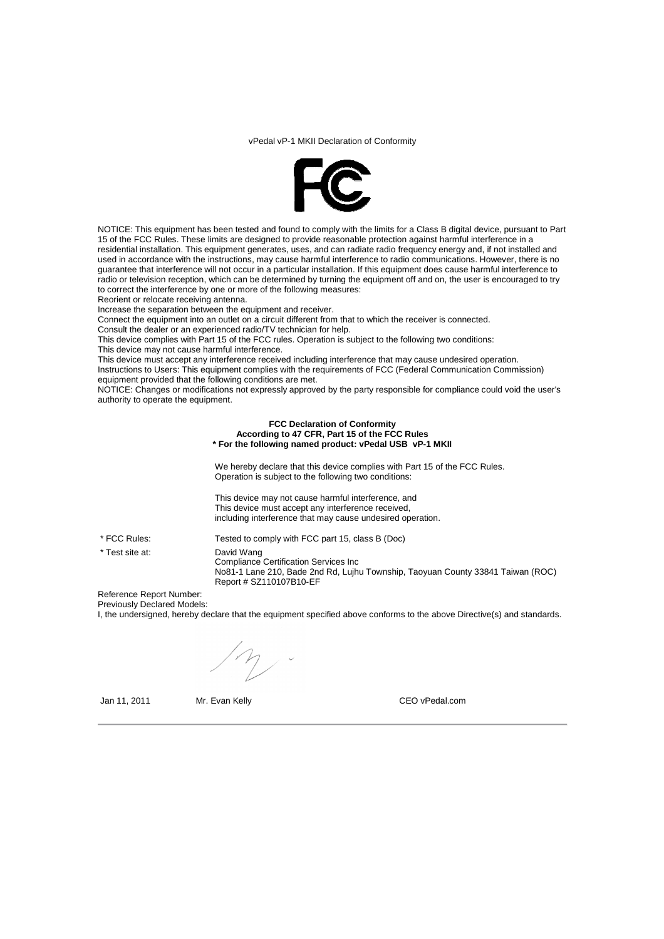## vPedal vP-1 MKII Declaration of Conformity



NOTICE: This equipment has been tested and found to comply with the limits for a Class B digital device, pursuant to Part 15 of the FCC Rules. These limits are designed to provide reasonable protection against harmful interference in a residential installation. This equipment generates, uses, and can radiate radio frequency energy and, if not installed and used in accordance with the instructions, may cause harmful interference to radio communications. However, there is no guarantee that interference will not occur in a particular installation. If this equipment does cause harmful interference to radio or television reception, which can be determined by turning the equipment off and on, the user is encouraged to try to correct the interference by one or more of the following measures:

Reorient or relocate receiving antenna.

Increase the separation between the equipment and receiver.

Connect the equipment into an outlet on a circuit different from that to which the receiver is connected.

Consult the dealer or an experienced radio/TV technician for help.

This device complies with Part 15 of the FCC rules. Operation is subject to the following two conditions: This device may not cause harmful interference.

This device must accept any interference received including interference that may cause undesired operation. Instructions to Users: This equipment complies with the requirements of FCC (Federal Communication Commission)

equipment provided that the following conditions are met.

NOTICE: Changes or modifications not expressly approved by the party responsible for compliance could void the user's authority to operate the equipment.

## **FCC Declaration of Conformity According to 47 CFR, Part 15 of the FCC Rules \* For the following named product: vPedal USB vP-1 MKII**

We hereby declare that this device complies with Part 15 of the FCC Rules. Operation is subject to the following two conditions:

This device may not cause harmful interference, and This device must accept any interference received, including interference that may cause undesired operation.

\* FCC Rules: Tested to comply with FCC part 15, class B (Doc) \* Test site at: David Wang Compliance Certification Services Inc No81-1 Lane 210, Bade 2nd Rd, Lujhu Township, Taoyuan County 33841 Taiwan (ROC) Report # SZ110107B10-EF

Reference Report Number: Previously Declared Models:

I, the undersigned, hereby declare that the equipment specified above conforms to the above Directive(s) and standards.

Jan 11, 2011 Mr. Evan Kelly CEO vPedal.com